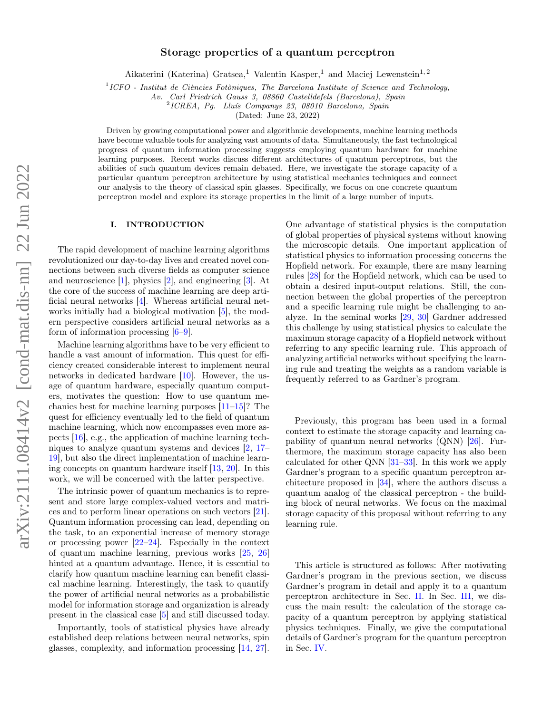# Storage properties of a quantum perceptron

Aikaterini (Katerina) Gratsea,<sup>1</sup> Valentin Kasper,<sup>1</sup> and Maciej Lewenstein<sup>1,2</sup>

<sup>1</sup>ICFO - Institut de Ciències Fotòniques, The Barcelona Institute of Science and Technology,

Av. Carl Friedrich Gauss 3, 08860 Castelldefels (Barcelona), Spain

2 ICREA, Pg. Lluís Companys 23, 08010 Barcelona, Spain

(Dated: June 23, 2022)

Driven by growing computational power and algorithmic developments, machine learning methods have become valuable tools for analyzing vast amounts of data. Simultaneously, the fast technological progress of quantum information processing suggests employing quantum hardware for machine learning purposes. Recent works discuss different architectures of quantum perceptrons, but the abilities of such quantum devices remain debated. Here, we investigate the storage capacity of a particular quantum perceptron architecture by using statistical mechanics techniques and connect our analysis to the theory of classical spin glasses. Specifically, we focus on one concrete quantum perceptron model and explore its storage properties in the limit of a large number of inputs.

# I. INTRODUCTION

The rapid development of machine learning algorithms revolutionized our day-to-day lives and created novel connections between such diverse fields as computer science and neuroscience [\[1\]](#page-10-0), physics [\[2\]](#page-10-1), and engineering [\[3\]](#page-10-2). At the core of the success of machine learning are deep artificial neural networks [\[4\]](#page-10-3). Whereas artificial neural networks initially had a biological motivation [\[5\]](#page-10-4), the modern perspective considers artificial neural networks as a form of information processing  $[6-9]$  $[6-9]$ .

Machine learning algorithms have to be very efficient to handle a vast amount of information. This quest for efficiency created considerable interest to implement neural networks in dedicated hardware [\[10\]](#page-10-7). However, the usage of quantum hardware, especially quantum computers, motivates the question: How to use quantum mechanics best for machine learning purposes [\[11–](#page-10-8)[15\]](#page-10-9)? The quest for efficiency eventually led to the field of quantum machine learning, which now encompasses even more aspects [\[16\]](#page-10-10), e.g., the application of machine learning techniques to analyze quantum systems and devices [\[2,](#page-10-1) [17–](#page-10-11) [19\]](#page-10-12), but also the direct implementation of machine learning concepts on quantum hardware itself [\[13,](#page-10-13) [20\]](#page-10-14). In this work, we will be concerned with the latter perspective.

The intrinsic power of quantum mechanics is to represent and store large complex-valued vectors and matrices and to perform linear operations on such vectors [\[21\]](#page-10-15). Quantum information processing can lead, depending on the task, to an exponential increase of memory storage or processing power [\[22](#page-10-16)[–24\]](#page-10-17). Especially in the context of quantum machine learning, previous works [\[25,](#page-10-18) [26\]](#page-10-19) hinted at a quantum advantage. Hence, it is essential to clarify how quantum machine learning can benefit classical machine learning. Interestingly, the task to quantify the power of artificial neural networks as a probabilistic model for information storage and organization is already present in the classical case [\[5\]](#page-10-4) and still discussed today.

Importantly, tools of statistical physics have already established deep relations between neural networks, spin glasses, complexity, and information processing [\[14,](#page-10-20) [27\]](#page-10-21). One advantage of statistical physics is the computation of global properties of physical systems without knowing the microscopic details. One important application of statistical physics to information processing concerns the Hopfield network. For example, there are many learning rules [\[28\]](#page-10-22) for the Hopfield network, which can be used to obtain a desired input-output relations. Still, the connection between the global properties of the perceptron and a specific learning rule might be challenging to analyze. In the seminal works [\[29,](#page-10-23) [30\]](#page-10-24) Gardner addressed this challenge by using statistical physics to calculate the maximum storage capacity of a Hopfield network without referring to any specific learning rule. This approach of analyzing artificial networks without specifying the learning rule and treating the weights as a random variable is frequently referred to as Gardner's program.

Previously, this program has been used in a formal context to estimate the storage capacity and learning capability of quantum neural networks (QNN) [\[26\]](#page-10-19). Furthermore, the maximum storage capacity has also been calculated for other QNN [\[31](#page-10-25)[–33\]](#page-10-26). In this work we apply Gardner's program to a specific quantum perceptron architecture proposed in [\[34\]](#page-10-27), where the authors discuss a quantum analog of the classical perceptron - the building block of neural networks. We focus on the maximal storage capacity of this proposal without referring to any learning rule.

This article is structured as follows: After motivating Gardner's program in the previous section, we discuss Gardner's program in detail and apply it to a quantum perceptron architecture in Sec. [II.](#page-1-0) In Sec. [III,](#page-4-0) we discuss the main result: the calculation of the storage capacity of a quantum perceptron by applying statistical physics techniques. Finally, we give the computational details of Gardner's program for the quantum perceptron in Sec. [IV.](#page-5-0)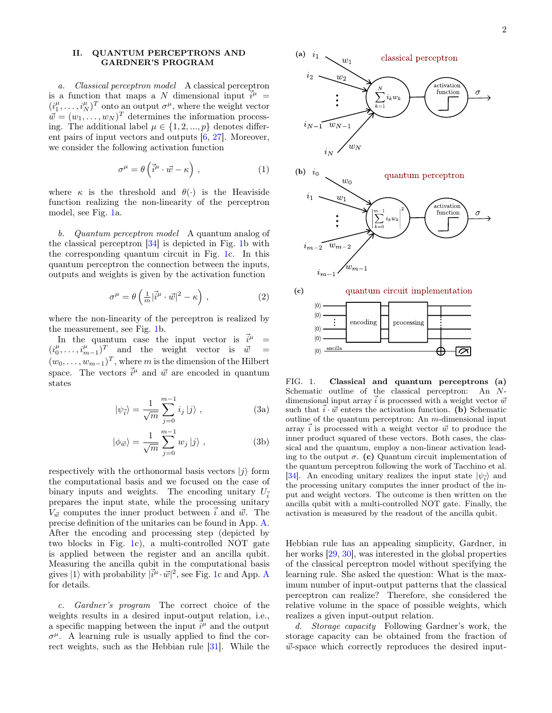# <span id="page-1-0"></span>II. QUANTUM PERCEPTRONS AND GARDNER'S PROGRAM

a. Classical perceptron model A classical perceptron is a function that maps a N dimensional input  $\vec{i}^{\mu}$  =  $(i_1^{\mu}, \ldots, i_N^{\mu})^T$  onto an output  $\sigma^{\mu}$ , where the weight vector  $\vec{w} = (w_1, \ldots, w_N)^T$  determines the information processing. The additional label  $\mu \in \{1, 2, ..., p\}$  denotes different pairs of input vectors and outputs [\[6,](#page-10-5) [27\]](#page-10-21). Moreover, we consider the following activation function

$$
\sigma^{\mu} = \theta \left( \vec{i}^{\mu} \cdot \vec{w} - \kappa \right) , \qquad (1)
$$

where  $\kappa$  is the threshold and  $\theta(\cdot)$  is the Heaviside function realizing the non-linearity of the perceptron model, see Fig. [1a](#page-1-1).

b. Quantum perceptron model A quantum analog of the classical perceptron [\[34\]](#page-10-27) is depicted in Fig. [1b](#page-1-1) with the corresponding quantum circuit in Fig. [1c](#page-1-1). In this quantum perceptron the connection between the inputs, outputs and weights is given by the activation function

$$
\sigma^{\mu} = \theta \left( \frac{1}{m} |\vec{i}^{\mu} \cdot \vec{w}|^2 - \kappa \right) , \qquad (2)
$$

where the non-linearity of the perceptron is realized by the measurement, see Fig. [1b](#page-1-1).

In the quantum case the input vector is  $\vec{i}^{\mu}$  =  $(i_0^{\mu}, \ldots, i_{m-1}^{\mu})^T$  and the weight vector is  $\vec{w}$  =  $(w_0, \ldots, w_{m-1})^T$ , where m is the dimension of the Hilbert space. The vectors  $\vec{i}^{\mu}$  and  $\vec{w}$  are encoded in quantum states

$$
|\psi_{\vec{i}}\rangle = \frac{1}{\sqrt{m}} \sum_{j=0}^{m-1} i_j |j\rangle , \qquad (3a)
$$

$$
|\phi_{\vec{w}}\rangle = \frac{1}{\sqrt{m}} \sum_{j=0}^{m-1} w_j |j\rangle , \qquad (3b)
$$

respectively with the orthonormal basis vectors  $|j\rangle$  form the computational basis and we focused on the case of binary inputs and weights. The encoding unitary  $U_{\vec{\tau}}$ prepares the input state, while the processing unitary  $V_{\vec{w}}$  computes the inner product between  $\vec{i}$  and  $\vec{w}$ . The precise definition of the unitaries can be found in App. [A.](#page-8-0) After the encoding and processing step (depicted by two blocks in Fig. [1c](#page-1-1)), a multi-controlled NOT gate is applied between the register and an ancilla qubit. Measuring the ancilla qubit in the computational basis gives  $|1\rangle$  with probability  $|\vec{i}^{\mu} \cdot \vec{w}|^2$ , see Fig. [1c](#page-1-1) and [A](#page-8-0)pp. A for details.

c. Gardner's program The correct choice of the weights results in a desired input-output relation, i.e., a specific mapping between the input  $\vec{i}^{\mu}$  and the output  $\sigma^{\mu}$ . A learning rule is usually applied to find the correct weights, such as the Hebbian rule [\[31\]](#page-10-25). While the



<span id="page-1-1"></span>FIG. 1. Classical and quantum perceptrons (a) Schematic outline of the classical perceptron: An Ndimensional input array  $\vec{i}$  is processed with a weight vector  $\vec{w}$ such that  $\vec{i} \cdot \vec{w}$  enters the activation function. (b) Schematic outline of the quantum perceptron: An  $m$ -dimensional input array  $\vec{i}$  is processed with a weight vector  $\vec{w}$  to produce the inner product squared of these vectors. Both cases, the classical and the quantum, employ a non-linear activation leading to the output  $\sigma$ . (c) Quantum circuit implementation of the quantum perceptron following the work of Tacchino et al. [\[34\]](#page-10-27). An encoding unitary realizes the input state  $|\psi_{\vec{i}}\rangle$  and the processing unitary computes the inner product of the input and weight vectors. The outcome is then written on the ancilla qubit with a multi-controlled NOT gate. Finally, the activation is measured by the readout of the ancilla qubit.

Hebbian rule has an appealing simplicity, Gardner, in her works [\[29,](#page-10-23) [30\]](#page-10-24), was interested in the global properties of the classical perceptron model without specifying the learning rule. She asked the question: What is the maximum number of input-output patterns that the classical perceptron can realize? Therefore, she considered the relative volume in the space of possible weights, which realizes a given input-output relation.

d. Storage capacity Following Gardner's work, the storage capacity can be obtained from the fraction of  $\vec{w}$ -space which correctly reproduces the desired input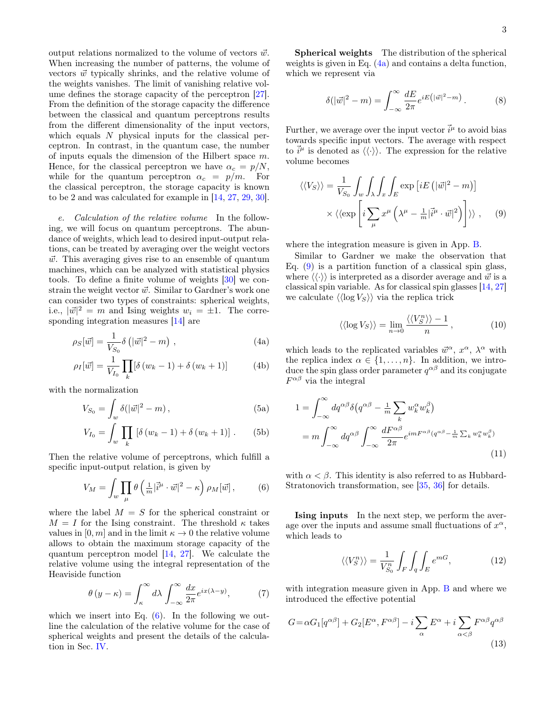output relations normalized to the volume of vectors  $\vec{w}$ . When increasing the number of patterns, the volume of vectors  $\vec{w}$  typically shrinks, and the relative volume of the weights vanishes. The limit of vanishing relative volume defines the storage capacity of the perceptron [\[27\]](#page-10-21). From the definition of the storage capacity the difference between the classical and quantum perceptrons results from the different dimensionality of the input vectors, which equals  $N$  physical inputs for the classical perceptron. In contrast, in the quantum case, the number of inputs equals the dimension of the Hilbert space m. Hence, for the classical perceptron we have  $\alpha_c = p/N$ , while for the quantum perceptron  $\alpha_c = p/m$ . For the classical perceptron, the storage capacity is known to be 2 and was calculated for example in [\[14,](#page-10-20) [27,](#page-10-21) [29,](#page-10-23) [30\]](#page-10-24).

e. Calculation of the relative volume In the following, we will focus on quantum perceptrons. The abundance of weights, which lead to desired input-output relations, can be treated by averaging over the weight vectors  $\vec{w}$ . This averaging gives rise to an ensemble of quantum machines, which can be analyzed with statistical physics tools. To define a finite volume of weights [\[30\]](#page-10-24) we constrain the weight vector  $\vec{w}$ . Similar to Gardner's work one can consider two types of constraints: spherical weights, i.e.,  $|\vec{w}|^2 = m$  and Ising weights  $w_i = \pm 1$ . The corresponding integration measures [\[14\]](#page-10-20) are

$$
\rho_S[\vec{w}] = \frac{1}{V_{S_0}} \delta\left(|\vec{w}|^2 - m\right) ,\qquad (4a)
$$

$$
\rho_I[\vec{w}] = \frac{1}{V_{I_0}} \prod_k [\delta(w_k - 1) + \delta(w_k + 1)] \tag{4b}
$$

with the normalization

<span id="page-2-7"></span>
$$
V_{S_0} = \int_w \delta(|\vec{w}|^2 - m), \qquad (5a)
$$

$$
V_{I_0} = \int_w \prod_k [\delta(w_k - 1) + \delta(w_k + 1)].
$$
 (5b)

Then the relative volume of perceptrons, which fulfill a specific input-output relation, is given by

$$
V_M = \int_w \prod_{\mu} \theta\left(\frac{1}{m}|\vec{i}^{\mu} \cdot \vec{w}|^2 - \kappa\right) \rho_M[\vec{w}], \tag{6}
$$

where the label  $M = S$  for the spherical constraint or  $M = I$  for the Ising constraint. The threshold  $\kappa$  takes values in  $[0, m]$  and in the limit  $\kappa \to 0$  the relative volume allows to obtain the maximum storage capacity of the quantum perceptron model [\[14,](#page-10-20) [27\]](#page-10-21). We calculate the relative volume using the integral representation of the Heaviside function

$$
\theta(y - \kappa) = \int_{\kappa}^{\infty} d\lambda \int_{-\infty}^{\infty} \frac{dx}{2\pi} e^{ix(\lambda - y)},
$$
 (7)

which we insert into Eq.  $(6)$ . In the following we outline the calculation of the relative volume for the case of spherical weights and present the details of the calculation in Sec. [IV.](#page-5-0)

Spherical weights The distribution of the spherical weights is given in Eq. [\(4a\)](#page-2-1) and contains a delta function, which we represent via

$$
\delta(|\vec{w}|^2 - m) = \int_{-\infty}^{\infty} \frac{dE}{2\pi} e^{iE(|\vec{w}|^2 - m)}.
$$
 (8)

Further, we average over the input vector  $\vec{i}^{\mu}$  to avoid bias towards specific input vectors. The average with respect to  $\vec{i}^{\mu}$  is denoted as  $\langle\langle\cdot\rangle\rangle$ . The expression for the relative volume becomes

$$
\langle \langle V_S \rangle \rangle = \frac{1}{V_{S_0}} \int_w \int_{\lambda} \int_x \int_E \exp \left[ i E \left( |\vec{w}|^2 - m \right) \right] \times \langle \langle \exp \left[ i \sum_{\mu} x^{\mu} \left( \lambda^{\mu} - \frac{1}{m} |\vec{i}^{\mu} \cdot \vec{w}|^2 \right) \right] \rangle \rangle , \quad (9)
$$

where the integration measure is given in App. [B.](#page-9-0)

Similar to Gardner we make the observation that Eq.  $(9)$  is a partition function of a classical spin glass, where  $\langle \langle \cdot \rangle \rangle$  is interpreted as a disorder average and  $\vec{w}$  is a classical spin variable. As for classical spin glasses [\[14,](#page-10-20) [27\]](#page-10-21) we calculate  $\langle \langle \log V_S \rangle \rangle$  via the replica trick

<span id="page-2-3"></span><span id="page-2-2"></span>
$$
\langle \langle \log V_S \rangle \rangle = \lim_{n \to 0} \frac{\langle \langle V_S^n \rangle \rangle - 1}{n}, \tag{10}
$$

<span id="page-2-6"></span><span id="page-2-1"></span>which leads to the replicated variables  $\vec{w}^{\alpha}$ ,  $x^{\alpha}$ ,  $\lambda^{\alpha}$  with the replica index  $\alpha \in \{1, \ldots, n\}$ . In addition, we introduce the spin glass order parameter  $q^{\alpha\beta}$  and its conjugate  $F^{\alpha\beta}$  via the integral

$$
1 = \int_{-\infty}^{\infty} dq^{\alpha\beta} \delta(q^{\alpha\beta} - \frac{1}{m} \sum_{k} w_{k}^{\alpha} w_{k}^{\beta})
$$
  
= 
$$
m \int_{-\infty}^{\infty} dq^{\alpha\beta} \int_{-\infty}^{\infty} \frac{dF^{\alpha\beta}}{2\pi} e^{imF^{\alpha\beta}(q^{\alpha\beta} - \frac{1}{m} \sum_{k} w_{k}^{\alpha} w_{k}^{\beta})}
$$
(11)

<span id="page-2-0"></span>with  $\alpha < \beta$ . This identity is also referred to as Hubbard-Stratonovich transformation, see [\[35,](#page-10-28) [36\]](#page-10-29) for details.

Ising inputs In the next step, we perform the average over the inputs and assume small fluctuations of  $x^{\alpha}$ , which leads to

<span id="page-2-8"></span><span id="page-2-5"></span><span id="page-2-4"></span>
$$
\langle \langle V_S^n \rangle \rangle = \frac{1}{V_{S_0}^n} \int_F \int_q \int_E e^{mG}, \tag{12}
$$

with integration measure given in App. [B](#page-9-0) and where we introduced the effective potential

$$
G = \alpha G_1[q^{\alpha \beta}] + G_2[E^{\alpha}, F^{\alpha \beta}] - i \sum_{\alpha} E^{\alpha} + i \sum_{\alpha < \beta} F^{\alpha \beta} q^{\alpha \beta} \tag{13}
$$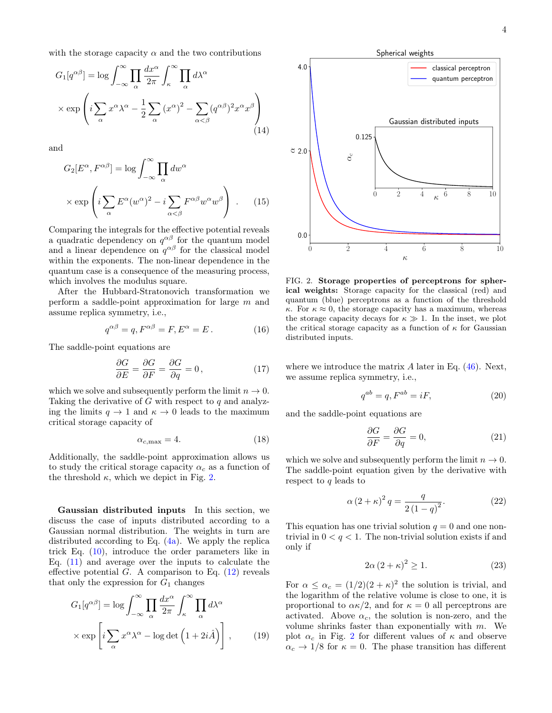with the storage capacity  $\alpha$  and the two contributions

$$
G_1[q^{\alpha\beta}] = \log \int_{-\infty}^{\infty} \prod_{\alpha} \frac{dx^{\alpha}}{2\pi} \int_{\kappa}^{\infty} \prod_{\alpha} d\lambda^{\alpha}
$$

$$
\times \exp\left(i \sum_{\alpha} x^{\alpha} \lambda^{\alpha} - \frac{1}{2} \sum_{\alpha} (x^{\alpha})^2 - \sum_{\alpha < \beta} (q^{\alpha\beta})^2 x^{\alpha} x^{\beta}\right)
$$
(14)

and

$$
G_2[E^{\alpha}, F^{\alpha\beta}] = \log \int_{-\infty}^{\infty} \prod_{\alpha} dw^{\alpha}
$$

$$
\times \exp \left( i \sum_{\alpha} E^{\alpha} (w^{\alpha})^2 - i \sum_{\alpha < \beta} F^{\alpha\beta} w^{\alpha} w^{\beta} \right) . \tag{15}
$$

Comparing the integrals for the effective potential reveals a quadratic dependency on  $q^{\alpha\beta}$  for the quantum model and a linear dependence on  $q^{\alpha\beta}$  for the classical model within the exponents. The non-linear dependence in the quantum case is a consequence of the measuring process, which involves the modulus square.

After the Hubbard-Stratonovich transformation we perform a saddle-point approximation for large m and assume replica symmetry, i.e.,

$$
q^{\alpha\beta} = q, F^{\alpha\beta} = F, E^{\alpha} = E. \tag{16}
$$

The saddle-point equations are

$$
\frac{\partial G}{\partial E} = \frac{\partial G}{\partial F} = \frac{\partial G}{\partial q} = 0, \qquad (17)
$$

which we solve and subsequently perform the limit  $n \to 0$ . Taking the derivative of  $G$  with respect to  $q$  and analyzing the limits  $q \to 1$  and  $\kappa \to 0$  leads to the maximum critical storage capacity of

$$
\alpha_{c,\text{max}} = 4. \tag{18}
$$

Additionally, the saddle-point approximation allows us to study the critical storage capacity  $\alpha_c$  as a function of the threshold  $\kappa$ , which we depict in Fig. [2.](#page-3-0)

Gaussian distributed inputs In this section, we discuss the case of inputs distributed according to a Gaussian normal distribution. The weights in turn are distributed according to Eq.  $(4a)$ . We apply the replica trick Eq. [\(10\)](#page-2-3), introduce the order parameters like in Eq.  $(11)$  and average over the inputs to calculate the effective potential  $G$ . A comparison to Eq.  $(12)$  reveals that only the expression for  $G_1$  changes

$$
G_1[q^{\alpha\beta}] = \log \int_{-\infty}^{\infty} \prod_{\alpha} \frac{dx^{\alpha}}{2\pi} \int_{\kappa}^{\infty} \prod_{\alpha} d\lambda^{\alpha}
$$

$$
\times \exp \left[ i \sum_{\alpha} x^{\alpha} \lambda^{\alpha} - \log \det \left( 1 + 2i\hat{A} \right) \right], \qquad (19)
$$



<span id="page-3-1"></span><span id="page-3-0"></span>FIG. 2. Storage properties of perceptrons for spherical weights: Storage capacity for the classical (red) and quantum (blue) perceptrons as a function of the threshold  $\kappa$ . For  $\kappa \approx 0$ , the storage capacity has a maximum, whereas the storage capacity decays for  $\kappa \gg 1$ . In the inset, we plot the critical storage capacity as a function of  $\kappa$  for Gaussian distributed inputs.

where we introduce the matrix  $A$  later in Eq.  $(46)$ . Next, we assume replica symmetry, i.e.,

$$
q^{ab} = q, F^{ab} = iF,
$$
\n<sup>(20)</sup>

and the saddle-point equations are

$$
\frac{\partial G}{\partial F} = \frac{\partial G}{\partial q} = 0,\tag{21}
$$

which we solve and subsequently perform the limit  $n \to 0$ . The saddle-point equation given by the derivative with respect to  $q$  leads to

$$
\alpha (2 + \kappa)^2 q = \frac{q}{2(1 - q)^2}.
$$
 (22)

This equation has one trivial solution  $q = 0$  and one nontrivial in  $0 < q < 1$ . The non-trivial solution exists if and only if

$$
2\alpha \left(2 + \kappa\right)^2 \ge 1. \tag{23}
$$

For  $\alpha \leq \alpha_c = (1/2)(2 + \kappa)^2$  the solution is trivial, and the logarithm of the relative volume is close to one, it is proportional to  $\alpha \kappa/2$ , and for  $\kappa = 0$  all perceptrons are activated. Above  $\alpha_c$ , the solution is non-zero, and the volume shrinks faster than exponentially with  $m$ . We plot  $\alpha_c$  in Fig. [2](#page-3-0) for different values of  $\kappa$  and observe  $\alpha_c \rightarrow 1/8$  for  $\kappa = 0$ . The phase transition has different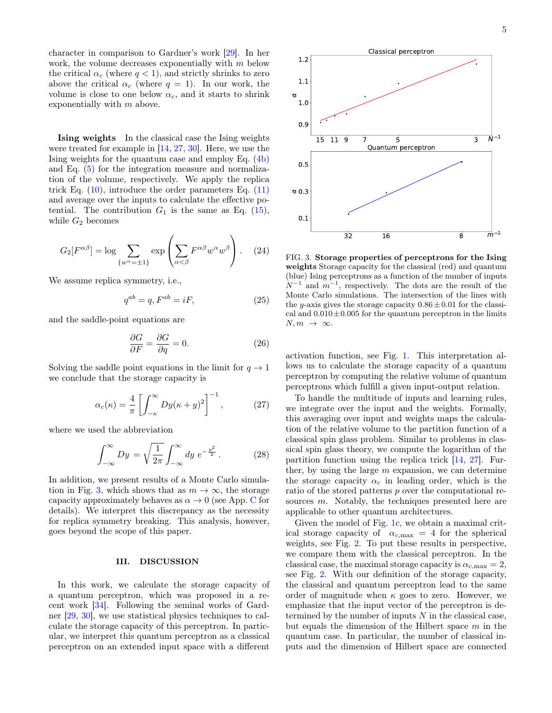character in comparison to Gardner's work [\[29\]](#page-10-23). In her work, the volume decreases exponentially with m below the critical  $\alpha_c$  (where  $q < 1$ ), and strictly shrinks to zero above the critical  $\alpha_c$  (where  $q = 1$ ). In our work, the volume is close to one below  $\alpha_c$ , and it starts to shrink exponentially with m above.

Ising weights In the classical case the Ising weights were treated for example in [\[14,](#page-10-20) [27,](#page-10-21) [30\]](#page-10-24). Here, we use the Ising weights for the quantum case and employ Eq. [\(4b\)](#page-2-6) and Eq. [\(5\)](#page-2-7) for the integration measure and normalization of the volume, respectively. We apply the replica trick Eq.  $(10)$ , introduce the order parameters Eq.  $(11)$ and average over the inputs to calculate the effective potential. The contribution  $G_1$  is the same as Eq. [\(15\)](#page-3-1), while  $G_2$  becomes

<span id="page-4-3"></span>
$$
G_2[F^{\alpha\beta}] = \log \sum_{\{w^\alpha = \pm 1\}} \exp \left( \sum_{\alpha < \beta} F^{\alpha\beta} w^\alpha w^\beta \right). \tag{24}
$$

We assume replica symmetry, i.e.,

$$
q^{ab} = q, F^{ab} = iF,
$$
\n<sup>(25)</sup>

and the saddle-point equations are

$$
\frac{\partial G}{\partial F} = \frac{\partial G}{\partial q} = 0.
$$
 (26)

Solving the saddle point equations in the limit for  $q \to 1$ we conclude that the storage capacity is

$$
\alpha_c(\kappa) = \frac{4}{\pi} \left[ \int_{-\kappa}^{\infty} Dy(\kappa + y)^2 \right]^{-1}, \tag{27}
$$

where we used the abbreviation

$$
\int_{-\infty}^{\infty} Dy = \sqrt{\frac{1}{2\pi}} \int_{-\infty}^{\infty} dy e^{-\frac{y^2}{2}}.
$$
 (28)

In addition, we present results of a Monte Carlo simula-tion in Fig. [3,](#page-4-1) which shows that as  $m \to \infty$ , the storage capacity approximately behaves as  $\alpha \to 0$  (see App. [C](#page-9-1) for details). We interpret this discrepancy as the necessity for replica symmetry breaking. This analysis, however, goes beyond the scope of this paper.

### <span id="page-4-0"></span>III. DISCUSSION

In this work, we calculate the storage capacity of a quantum perceptron, which was proposed in a recent work [\[34\]](#page-10-27). Following the seminal works of Gardner [\[29,](#page-10-23) [30\]](#page-10-24), we use statistical physics techniques to calculate the storage capacity of this perceptron. In particular, we interpret this quantum perceptron as a classical perceptron on an extended input space with a different



<span id="page-4-1"></span>FIG. 3. Storage properties of perceptrons for the Ising weights Storage capacity for the classical (red) and quantum (blue) Ising perceptrons as a function of the number of inputs  $N^{-1}$  and  $m^{-1}$ , respectively. The dots are the result of the Monte Carlo simulations. The intersection of the lines with the y-axis gives the storage capacity  $0.86 \pm 0.01$  for the classical and  $0.010 \pm 0.005$  for the quantum perceptron in the limits  $N, m \rightarrow \infty$ .

activation function, see Fig. [1.](#page-1-1) This interpretation allows us to calculate the storage capacity of a quantum perceptron by computing the relative volume of quantum perceptrons which fulfill a given input-output relation.

<span id="page-4-2"></span>To handle the multitude of inputs and learning rules, we integrate over the input and the weights. Formally, this averaging over input and weights maps the calculation of the relative volume to the partition function of a classical spin glass problem. Similar to problems in classical spin glass theory, we compute the logarithm of the partition function using the replica trick [\[14,](#page-10-20) [27\]](#page-10-21). Further, by using the large  $m$  expansion, we can determine the storage capacity  $\alpha_c$  in leading order, which is the ratio of the stored patterns p over the computational resources m. Notably, the techniques presented here are applicable to other quantum architectures.

Given the model of Fig. [1c](#page-1-1), we obtain a maximal critical storage capacity of  $\alpha_{c,\text{max}} = 4$  for the spherical weights, see Fig. [2.](#page-3-0) To put these results in perspective, we compare them with the classical perceptron. In the classical case, the maximal storage capacity is  $\alpha_{c,\text{max}} = 2$ , see Fig. [2.](#page-3-0) With our definition of the storage capacity, the classical and quantum perceptron lead to the same order of magnitude when  $\kappa$  goes to zero. However, we emphasize that the input vector of the perceptron is determined by the number of inputs  $N$  in the classical case, but equals the dimension of the Hilbert space  $m$  in the quantum case. In particular, the number of classical inputs and the dimension of Hilbert space are connected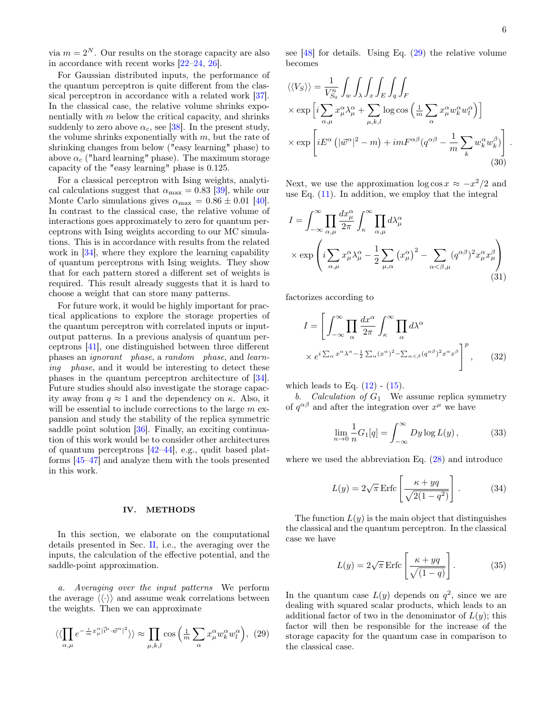via  $m = 2^N$ . Our results on the storage capacity are also in accordance with recent works [\[22–](#page-10-16)[24,](#page-10-17) [26\]](#page-10-19).

For Gaussian distributed inputs, the performance of the quantum perceptron is quite different from the classical perceptron in accordance with a related work [\[37\]](#page-10-30). In the classical case, the relative volume shrinks exponentially with  $m$  below the critical capacity, and shrinks suddenly to zero above  $\alpha_c$ , see [\[38\]](#page-10-31). In the present study, the volume shrinks exponentially with  $m$ , but the rate of shrinking changes from below ("easy learning" phase) to above  $\alpha_c$  ("hard learning" phase). The maximum storage capacity of the "easy learning" phase is 0.125.

For a classical perceptron with Ising weights, analytical calculations suggest that  $\alpha_{\text{max}} = 0.83$  [\[39\]](#page-10-32), while our Monte Carlo simulations gives  $\alpha_{\text{max}} = 0.86 \pm 0.01$  [\[40\]](#page-10-33). In contrast to the classical case, the relative volume of interactions goes approximately to zero for quantum perceptrons with Ising weights according to our MC simulations. This is in accordance with results from the related work in [\[34\]](#page-10-27), where they explore the learning capability of quantum perceptrons with Ising weights. They show that for each pattern stored a different set of weights is required. This result already suggests that it is hard to choose a weight that can store many patterns.

For future work, it would be highly important for practical applications to explore the storage properties of the quantum perceptron with correlated inputs or inputoutput patterns. In a previous analysis of quantum perceptrons [\[41\]](#page-10-34), one distinguished between three different phases an ignorant phase, a random phase, and learning phase, and it would be interesting to detect these phases in the quantum perceptron architecture of [\[34\]](#page-10-27). Future studies should also investigate the storage capacity away from  $q \approx 1$  and the dependency on  $\kappa$ . Also, it will be essential to include corrections to the large  $m$  expansion and study the stability of the replica symmetric saddle point solution [\[36\]](#page-10-29). Finally, an exciting continuation of this work would be to consider other architectures of quantum perceptrons [\[42](#page-10-35)[–44\]](#page-10-36), e.g., qudit based platforms [\[45–](#page-10-37)[47\]](#page-10-38) and analyze them with the tools presented in this work.

#### <span id="page-5-0"></span>IV. METHODS

In this section, we elaborate on the computational details presented in Sec. [II,](#page-1-0) i.e., the averaging over the inputs, the calculation of the effective potential, and the saddle-point approximation.

a. Averaging over the input patterns We perform the average  $\langle \langle \cdot \rangle \rangle$  and assume weak correlations between the weights. Then we can approximate

$$
\langle \langle \prod_{\alpha,\mu} e^{-\frac{i}{m}x_{\mu}^{\alpha}|\vec{i}^{\mu}\cdot\vec{w}^{\alpha}|^2} \rangle \rangle \approx \prod_{\mu,k,l} \cos\left(\frac{1}{m}\sum_{\alpha} x_{\mu}^{\alpha} w_{k}^{\alpha} w_{l}^{\alpha}\right), (29)
$$

see  $[48]$  for details. Using Eq.  $(29)$  the relative volume becomes

$$
\langle\langle V_S \rangle\rangle = \frac{1}{V_{S_0}^n} \int_w \int_\lambda \int_x \int_E \int_q \int_F
$$
  
× exp  $\left[ i \sum_{\alpha,\mu} x_{\mu}^{\alpha} \lambda_{\mu}^{\alpha} + \sum_{\mu,k,l} \log \cos \left( \frac{1}{m} \sum_{\alpha} x_{\mu}^{\alpha} w_k^{\alpha} w_l^{\alpha} \right) \right]$   
× exp  $\left[ iE^{\alpha} \left( |\vec{w}^{\alpha}|^2 - m \right) + imF^{\alpha\beta} (q^{\alpha\beta} - \frac{1}{m} \sum_{k} w_k^{\alpha} w_k^{\beta} \right] \right].$  (30)

<span id="page-5-2"></span>Next, we use the approximation  $\log \cos x \approx -x^2/2$  and use Eq.  $(11)$ . In addition, we employ that the integral

$$
I = \int_{-\infty}^{\infty} \prod_{\alpha,\mu} \frac{dx^{\alpha}_{\mu}}{2\pi} \int_{\kappa}^{\infty} \prod_{\alpha,\mu} d\lambda^{\alpha}_{\mu}
$$
  
 
$$
\times \exp\left(i \sum_{\alpha,\mu} x^{\alpha}_{\mu} \lambda^{\alpha}_{\mu} - \frac{1}{2} \sum_{\mu,\alpha} (x^{\alpha}_{\mu})^2 - \sum_{\alpha < \beta,\mu} (q^{\alpha\beta})^2 x^{\alpha}_{\mu} x^{\beta}_{\mu}\right)
$$
(31)

factorizes according to

$$
I = \left[ \int_{-\infty}^{\infty} \prod_{\alpha} \frac{dx^{\alpha}}{2\pi} \int_{\kappa}^{\infty} \prod_{\alpha} d\lambda^{\alpha} \times e^{i \sum_{\alpha} x^{\alpha} \lambda^{\alpha} - \frac{1}{2} \sum_{\alpha} (x^{\alpha})^2 - \sum_{\alpha < \beta} (q^{\alpha \beta})^2 x^{\alpha} x^{\beta}} \right]^p, \quad (32)
$$

which leads to Eq.  $(12)$  -  $(15)$ .

b. Calculation of  $G_1$  We assume replica symmetry of  $q^{\alpha\beta}$  and after the integration over  $x^{\mu}$  we have

$$
\lim_{n \to 0} \frac{1}{n} G_1[q] = \int_{-\infty}^{\infty} Dy \log L(y), \qquad (33)
$$

where we used the abbreviation Eq. [\(28\)](#page-4-2) and introduce

$$
L(y) = 2\sqrt{\pi} \operatorname{Erfc} \left[ \frac{\kappa + yq}{\sqrt{2(1 - q^2)}} \right]. \tag{34}
$$

The function  $L(y)$  is the main object that distinguishes the classical and the quantum perceptron. In the classical case we have

$$
L(y) = 2\sqrt{\pi} \operatorname{Erfc} \left[ \frac{\kappa + yq}{\sqrt{(1-q)}} \right]. \tag{35}
$$

<span id="page-5-1"></span>In the quantum case  $L(y)$  depends on  $q^2$ , since we are dealing with squared scalar products, which leads to an additional factor of two in the denominator of  $L(y)$ ; this factor will then be responsible for the increase of the storage capacity for the quantum case in comparison to the classical case.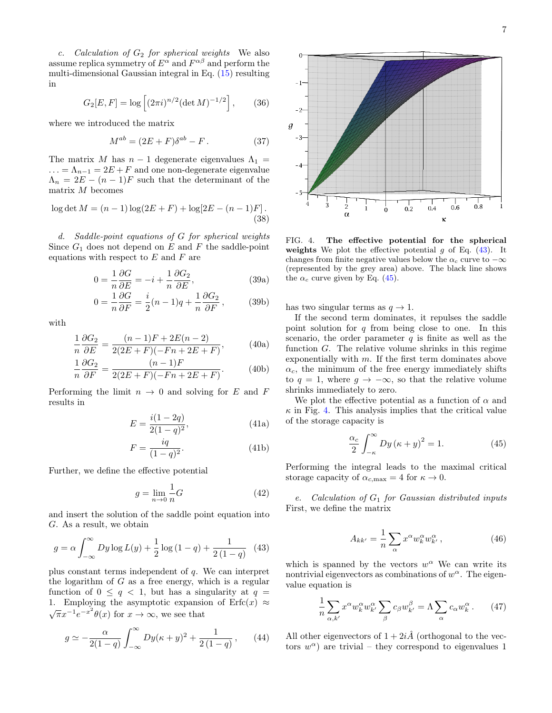c. Calculation of  $G_2$  for spherical weights We also assume replica symmetry of  $E^{\alpha}$  and  $F^{\alpha\beta}$  and perform the multi-dimensional Gaussian integral in Eq. [\(15\)](#page-3-1) resulting in

$$
G_2[E, F] = \log \left[ (2\pi i)^{n/2} (\det M)^{-1/2} \right],\qquad(36)
$$

where we introduced the matrix

$$
M^{ab} = (2E + F)\delta^{ab} - F. \tag{37}
$$

The matrix M has  $n-1$  degenerate eigenvalues  $\Lambda_1 =$  $\ldots = \Lambda_{n-1} = 2E + F$  and one non-degenerate eigenvalue  $\Lambda_n = 2E - (n-1)F$  such that the determinant of the matrix M becomes

$$
\log \det M = (n-1)\log(2E + F) + \log[2E - (n-1)F].
$$
\n(38)

d. Saddle-point equations of G for spherical weights Since  $G_1$  does not depend on  $E$  and  $F$  the saddle-point equations with respect to  $E$  and  $F$  are

$$
0 = \frac{1}{n} \frac{\partial G}{\partial E} = -i + \frac{1}{n} \frac{\partial G_2}{\partial E},
$$
 (39a)

$$
0 = \frac{1}{n} \frac{\partial G}{\partial F} = \frac{i}{2} (n - 1)q + \frac{1}{n} \frac{\partial G_2}{\partial F},
$$
 (39b)

with

$$
\frac{1}{n}\frac{\partial G_2}{\partial E} = \frac{(n-1)F + 2E(n-2)}{2(2E+F)(-Fn + 2E+F)},
$$
(40a)

$$
\frac{1}{n}\frac{\partial G_2}{\partial F} = \frac{(n-1)F}{2(2E+F)(-Fn+2E+F)}.\tag{40b}
$$

Performing the limit  $n \to 0$  and solving for E and F results in

$$
E = \frac{i(1 - 2q)}{2(1 - q)^2},
$$
\n(41a)

$$
F = \frac{iq}{(1-q)^2}.\tag{41b}
$$

Further, we define the effective potential

$$
g = \lim_{n \to 0} \frac{1}{n} G \tag{42}
$$

and insert the solution of the saddle point equation into G. As a result, we obtain

$$
g = \alpha \int_{-\infty}^{\infty} Dy \log L(y) + \frac{1}{2} \log (1 - q) + \frac{1}{2(1 - q)} \tag{43}
$$

plus constant terms independent of q. We can interpret the logarithm of  $G$  as a free energy, which is a regular function of  $0 \leq q < 1$ , but has a singularity at  $q =$ 1. Employing the asymptotic expansion of  $Erfc(x) \approx$  $\overline{\pi}x^{-1}e^{-x^2}\theta(x)$  for  $x\to\infty$ , we see that

$$
g \simeq -\frac{\alpha}{2(1-q)} \int_{-\infty}^{\infty} Dy(\kappa + y)^2 + \frac{1}{2(1-q)}, \qquad (44)
$$



<span id="page-6-3"></span>FIG. 4. The effective potential for the spherical weights We plot the effective potential q of Eq.  $(43)$ . It changes from finite negative values below the  $\alpha_c$  curve to  $-\infty$ (represented by the grey area) above. The black line shows the  $\alpha_c$  curve given by Eq. [\(45\)](#page-6-2).

has two singular terms as  $q \to 1$ .

If the second term dominates, it repulses the saddle point solution for  $q$  from being close to one. In this scenario, the order parameter  $q$  is finite as well as the function G. The relative volume shrinks in this regime exponentially with m. If the first term dominates above  $\alpha_c$ , the minimum of the free energy immediately shifts to  $q = 1$ , where  $q \to -\infty$ , so that the relative volume shrinks immediately to zero.

We plot the effective potential as a function of  $\alpha$  and  $\kappa$  in Fig. [4.](#page-6-3) This analysis implies that the critical value of the storage capacity is

<span id="page-6-2"></span>
$$
\frac{\alpha_c}{2} \int_{-\kappa}^{\infty} Dy \left(\kappa + y\right)^2 = 1. \tag{45}
$$

Performing the integral leads to the maximal critical storage capacity of  $\alpha_{c,\text{max}} = 4$  for  $\kappa \to 0$ .

e. Calculation of  $G_1$  for Gaussian distributed inputs First, we define the matrix

<span id="page-6-0"></span>
$$
A_{kk'} = \frac{1}{n} \sum_{\alpha} x^{\alpha} w_k^{\alpha} w_{k'}^{\alpha} , \qquad (46)
$$

<span id="page-6-1"></span>which is spanned by the vectors  $w^{\alpha}$  We can write its nontrivial eigenvectors as combinations of  $w^{\alpha}$ . The eigenvalue equation is

$$
\frac{1}{n}\sum_{\alpha,k'} x^{\alpha} w_k^{\alpha} w_{k'}^{\alpha} \sum_{\beta} c_{\beta} w_{k'}^{\beta} = \Lambda \sum_{\alpha} c_{\alpha} w_k^{\alpha}.
$$
 (47)

All other eigenvectors of  $1+2i\hat{A}$  (orthogonal to the vectors  $w^{\alpha}$ ) are trivial – they correspond to eigenvalues 1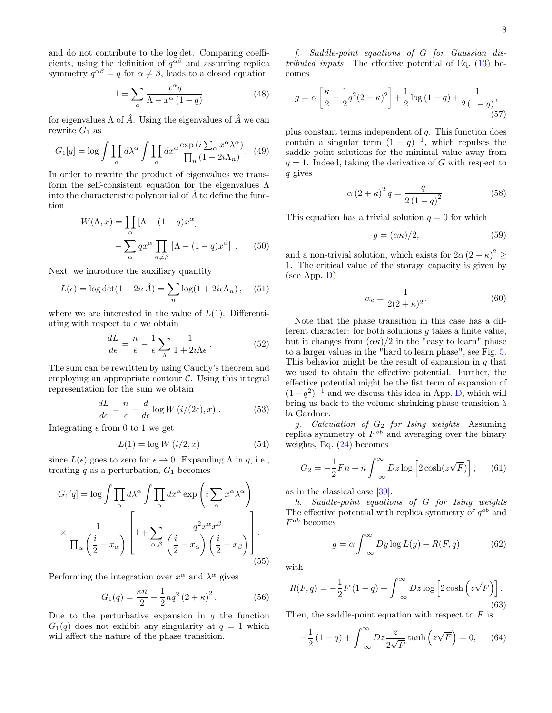and do not contribute to the log det. Comparing coefficients, using the definition of  $q^{\alpha\beta}$  and assuming replica symmetry  $q^{\alpha\beta} = q$  for  $\alpha \neq \beta$ , leads to a closed equation

$$
1 = \sum_{a} \frac{x^{\alpha} q}{\Lambda - x^{\alpha} (1 - q)}
$$
(48)

for eigenvalues  $\Lambda$  of  $\hat{A}$ . Using the eigenvalues of  $\hat{A}$  we can rewrite  $G_1$  as

$$
G_1[q] = \log \int \prod_{\alpha} d\lambda^{\alpha} \int \prod_{\alpha} dx^{\alpha} \frac{\exp(i \sum_{\alpha} x^{\alpha} \lambda^{\alpha})}{\prod_{n} (1 + 2i\Lambda_n)}.
$$
 (49)

In order to rewrite the product of eigenvalues we transform the self-consistent equation for the eigenvalues Λ into the characteristic polynomial of  $\tilde{A}$  to define the function

$$
W(\Lambda, x) = \prod_{\alpha} [\Lambda - (1 - q)x^{\alpha}]
$$

$$
- \sum_{\alpha} qx^{\alpha} \prod_{\alpha \neq \beta} [\Lambda - (1 - q)x^{\beta}]. \qquad (50)
$$

Next, we introduce the auxiliary quantity

$$
L(\epsilon) = \log \det(1 + 2i\epsilon \hat{A}) = \sum_{n} \log(1 + 2i\epsilon \Lambda_n), \quad (51)
$$

where we are interested in the value of  $L(1)$ . Differentiating with respect to  $\epsilon$  we obtain

$$
\frac{dL}{d\epsilon} = \frac{n}{\epsilon} - \frac{1}{\epsilon} \sum_{\Lambda} \frac{1}{1 + 2i\Lambda\epsilon} \,. \tag{52}
$$

The sum can be rewritten by using Cauchy's theorem and employing an appropriate contour  $\mathcal{C}$ . Using this integral representation for the sum we obtain

$$
\frac{dL}{d\epsilon} = \frac{n}{\epsilon} + \frac{d}{d\epsilon} \log W(i/(2\epsilon), x) . \tag{53}
$$

Integrating  $\epsilon$  from 0 to 1 we get

$$
L(1) = \log W\left(i/2, x\right) \tag{54}
$$

since  $L(\epsilon)$  goes to zero for  $\epsilon \to 0$ . Expanding  $\Lambda$  in q, i.e., treating  $q$  as a perturbation,  $G_1$  becomes

$$
G_1[q] = \log \int \prod_{\alpha} d\lambda^{\alpha} \int \prod_{\alpha} dx^{\alpha} \exp\left(i \sum_{\alpha} x^{\alpha} \lambda^{\alpha}\right)
$$

$$
\times \frac{1}{\prod_{\alpha} \left(\frac{i}{2} - x_{\alpha}\right)} \left[1 + \sum_{\alpha, \beta} \frac{q^2 x^{\alpha} x^{\beta}}{\left(\frac{i}{2} - x_{\alpha}\right) \left(\frac{i}{2} - x_{\beta}\right)}\right].
$$
(55)

Performing the integration over  $x^{\alpha}$  and  $\lambda^{\alpha}$  gives

$$
G_1(q) = \frac{\kappa n}{2} - \frac{1}{2} n q^2 (2 + \kappa)^2.
$$
 (56)

Due to the perturbative expansion in  $q$  the function  $G_1(q)$  does not exhibit any singularity at  $q = 1$  which will affect the nature of the phase transition.

f. Saddle-point equations of G for Gaussian distributed inputs The effective potential of Eq.  $(13)$  becomes

$$
g = \alpha \left[ \frac{\kappa}{2} - \frac{1}{2} q^2 (2 + \kappa)^2 \right] + \frac{1}{2} \log (1 - q) + \frac{1}{2 (1 - q)},
$$
\n(57)

plus constant terms independent of  $q$ . This function does contain a singular term  $(1 - q)^{-1}$ , which repulses the saddle point solutions for the minimal value away from  $q = 1$ . Indeed, taking the derivative of G with respect to q gives

<span id="page-7-1"></span>
$$
\alpha (2 + \kappa)^2 q = \frac{q}{2(1 - q)^2}.
$$
\n(58)

This equation has a trivial solution  $q = 0$  for which

<span id="page-7-0"></span>
$$
g = (\alpha \kappa)/2,\tag{59}
$$

and a non-trivial solution, which exists for  $2\alpha (2 + \kappa)^2 \geq$ 1. The critical value of the storage capacity is given by (see App. [D\)](#page-9-2)

<span id="page-7-2"></span>
$$
\alpha_c = \frac{1}{2(2+\kappa)^2}.\tag{60}
$$

Note that the phase transition in this case has a different character: for both solutions g takes a finite value, but it changes from  $(\alpha \kappa)/2$  in the "easy to learn" phase to a larger values in the "hard to learn phase", see Fig. [5.](#page-8-1) This behavior might be the result of expansion in  $q$  that we used to obtain the effective potential. Further, the effective potential might be the fist term of expansion of  $(1-q^2)^{-1}$  and we discuss this idea in App. [D,](#page-9-2) which will bring us back to the volume shrinking phase transition à la Gardner.

g. Calculation of  $G_2$  for Ising weights Assuming replica symmetry of  $F^{ab}$  and averaging over the binary weights, Eq. [\(24\)](#page-4-3) becomes

$$
G_2 = -\frac{1}{2}Fn + n \int_{-\infty}^{\infty} Dz \log \left[2 \cosh(z\sqrt{F})\right], \quad (61)
$$

as in the classical case [\[39\]](#page-10-32).

h. Saddle-point equations of G for Ising weights The effective potential with replica symmetry of  $q^{ab}$  and  $F^{ab}$  becomes

$$
g = \alpha \int_{-\infty}^{\infty} Dy \log L(y) + R(F, q)
$$
 (62)

with

$$
R(F, q) = -\frac{1}{2}F(1-q) + \int_{-\infty}^{\infty} Dz \log \left[2 \cosh\left(z\sqrt{F}\right)\right].
$$
\n(63)

Then, the saddle-point equation with respect to  $F$  is

$$
-\frac{1}{2}(1-q) + \int_{-\infty}^{\infty} Dz \frac{z}{2\sqrt{F}} \tanh\left(z\sqrt{F}\right) = 0, \quad (64)
$$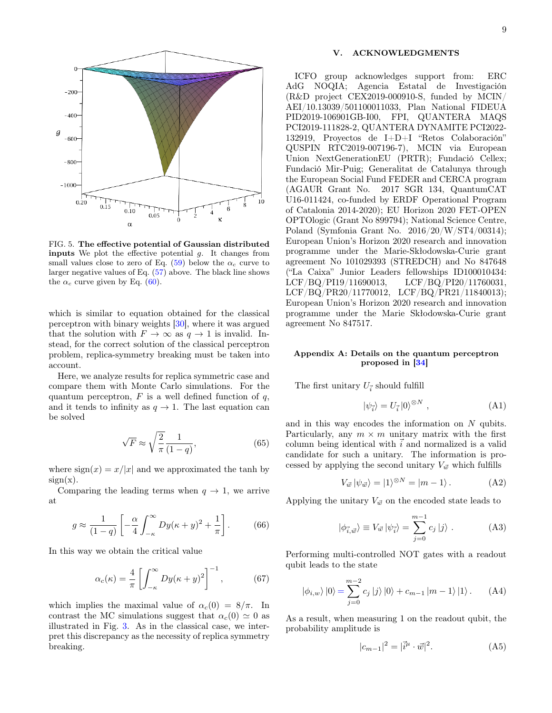

<span id="page-8-1"></span>FIG. 5. The effective potential of Gaussian distributed **inputs** We plot the effective potential  $g$ . It changes from small values close to zero of Eq. [\(59\)](#page-7-0) below the  $\alpha_c$  curve to larger negative values of Eq. [\(57\)](#page-7-1) above. The black line shows the  $\alpha_c$  curve given by Eq. [\(60\)](#page-7-2).

which is similar to equation obtained for the classical perceptron with binary weights [\[30\]](#page-10-24), where it was argued that the solution with  $F \to \infty$  as  $q \to 1$  is invalid. Instead, for the correct solution of the classical perceptron problem, replica-symmetry breaking must be taken into account.

Here, we analyze results for replica symmetric case and compare them with Monte Carlo simulations. For the quantum perceptron,  $F$  is a well defined function of  $q$ , and it tends to infinity as  $q \to 1$ . The last equation can be solved

$$
\sqrt{F} \approx \sqrt{\frac{2}{\pi}} \frac{1}{(1-q)},\tag{65}
$$

where  $sign(x) = x/|x|$  and we approximated the tanh by  $sign(x)$ .

Comparing the leading terms when  $q \to 1$ , we arrive at

$$
g \approx \frac{1}{(1-q)} \left[ -\frac{\alpha}{4} \int_{-\kappa}^{\infty} Dy(\kappa + y)^2 + \frac{1}{\pi} \right].
$$
 (66)

In this way we obtain the critical value

$$
\alpha_c(\kappa) = \frac{4}{\pi} \left[ \int_{-\kappa}^{\infty} Dy(\kappa + y)^2 \right]^{-1}, \tag{67}
$$

which implies the maximal value of  $\alpha_c(0) = 8/\pi$ . In contrast the MC simulations suggest that  $\alpha_c(0) \simeq 0$  as illustrated in Fig. [3.](#page-4-1) As in the classical case, we interpret this discrepancy as the necessity of replica symmetry breaking.

### V. ACKNOWLEDGMENTS

ICFO group acknowledges support from: ERC AdG NOQIA; Agencia Estatal de Investigación (R&D project CEX2019-000910-S, funded by MCIN/ AEI/10.13039/501100011033, Plan National FIDEUA PID2019-106901GB-I00, FPI, QUANTERA MAQS PCI2019-111828-2, QUANTERA DYNAMITE PCI2022- 132919, Proyectos de I+D+I "Retos Colaboración" QUSPIN RTC2019-007196-7), MCIN via European Union NextGenerationEU (PRTR); Fundació Cellex; Fundació Mir-Puig; Generalitat de Catalunya through the European Social Fund FEDER and CERCA program (AGAUR Grant No. 2017 SGR 134, QuantumCAT U16-011424, co-funded by ERDF Operational Program of Catalonia 2014-2020); EU Horizon 2020 FET-OPEN OPTOlogic (Grant No 899794); National Science Centre, Poland (Symfonia Grant No. 2016/20/W/ST4/00314); European Union's Horizon 2020 research and innovation programme under the Marie-Skłodowska-Curie grant agreement No 101029393 (STREDCH) and No 847648 ("La Caixa" Junior Leaders fellowships ID100010434: LCF/BQ/PI19/11690013, LCF/BQ/PI20/11760031, LCF/BQ/PR20/11770012, LCF/BQ/PR21/11840013); European Union's Horizon 2020 research and innovation programme under the Marie Skłodowska-Curie grant agreement No 847517.

### <span id="page-8-0"></span>Appendix A: Details on the quantum perceptron proposed in [\[34\]](#page-10-27)

The first unitary  $U_{\vec{i}}$  should fulfill

$$
|\psi_{\vec{i}}\rangle = U_{\vec{i}}\left|0\right>^{\otimes N},\tag{A1}
$$

and in this way encodes the information on N qubits. Particularly, any  $m \times m$  unitary matrix with the first column being identical with  $\vec{i}$  and normalized is a valid candidate for such a unitary. The information is processed by applying the second unitary  $V_{\vec{w}}$  which fulfills

$$
V_{\vec{w}} |\psi_{\vec{w}}\rangle = |1\rangle^{\otimes N} = |m-1\rangle.
$$
 (A2)

Applying the unitary  $V_{\vec{w}}$  on the encoded state leads to

$$
|\phi_{\vec{i},\vec{w}}\rangle \equiv V_{\vec{w}} |\psi_{\vec{i}}\rangle = \sum_{j=0}^{m-1} c_j |j\rangle . \tag{A3}
$$

Performing multi-controlled NOT gates with a readout qubit leads to the state

$$
|\phi_{i,w}\rangle|0\rangle = \sum_{j=0}^{m-2} c_j |j\rangle|0\rangle + c_{m-1} |m-1\rangle|1\rangle.
$$
 (A4)

As a result, when measuring 1 on the readout qubit, the probability amplitude is

$$
|c_{m-1}|^2 = |\vec{i}^{\mu} \cdot \vec{w}|^2.
$$
 (A5)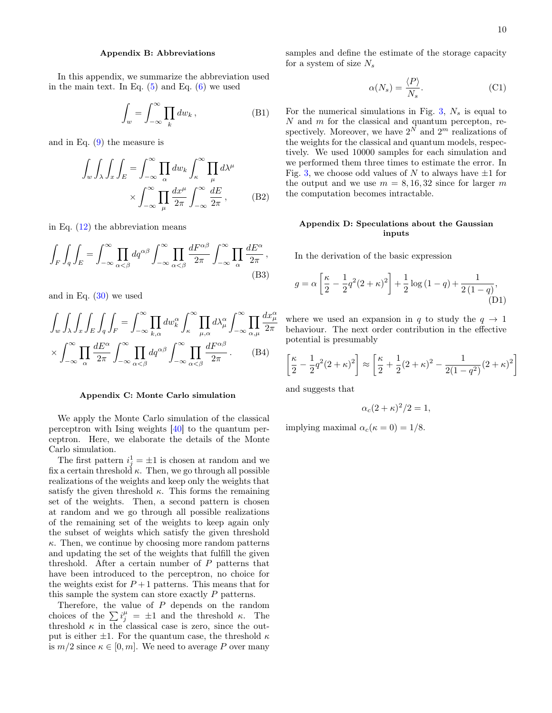#### <span id="page-9-0"></span>Appendix B: Abbreviations

In this appendix, we summarize the abbreviation used in the main text. In Eq.  $(5)$  and Eq.  $(6)$  we used

$$
\int_{w} = \int_{-\infty}^{\infty} \prod_{k} dw_{k},
$$
\n(B1)

and in Eq. [\(9\)](#page-2-2) the measure is

$$
\int_{w} \int_{\lambda} \int_{x} \int_{E} = \int_{-\infty}^{\infty} \prod_{\alpha} dw_{k} \int_{\kappa}^{\infty} \prod_{\mu} d\lambda^{\mu} \times \int_{-\infty}^{\infty} \prod_{\mu} \frac{dx^{\mu}}{2\pi} \int_{-\infty}^{\infty} \frac{dE}{2\pi},
$$
 (B2)

in Eq.  $(12)$  the abbreviation means

$$
\int_{F} \int_{q} \int_{E} = \int_{-\infty}^{\infty} \prod_{\alpha < \beta} dq^{\alpha\beta} \int_{-\infty}^{\infty} \prod_{\alpha < \beta} \frac{dF^{\alpha\beta}}{2\pi} \int_{-\infty}^{\infty} \prod_{\alpha} \frac{dE^{\alpha}}{2\pi},\tag{B3}
$$

and in Eq. [\(30\)](#page-5-2) we used

$$
\int_{w} \int_{\lambda} \int_{x} \int_{E} \int_{q} \int_{F} = \int_{-\infty}^{\infty} \prod_{k,\alpha} dw_{k}^{\alpha} \int_{\kappa}^{\infty} \prod_{\mu,\alpha} d\lambda_{\mu}^{\alpha} \int_{-\infty}^{\infty} \prod_{\alpha,\mu} \frac{dx_{\mu}^{\alpha}}{2\pi}
$$

$$
\times \int_{-\infty}^{\infty} \prod_{\alpha} \frac{dE^{\alpha}}{2\pi} \int_{-\infty}^{\infty} \prod_{\alpha < \beta} dq^{\alpha\beta} \int_{-\infty}^{\infty} \prod_{\alpha < \beta} \frac{dF^{\alpha\beta}}{2\pi} . \tag{B4}
$$

#### <span id="page-9-1"></span>Appendix C: Monte Carlo simulation

We apply the Monte Carlo simulation of the classical perceptron with Ising weights [\[40\]](#page-10-33) to the quantum perceptron. Here, we elaborate the details of the Monte Carlo simulation.

The first pattern  $i_j^1 = \pm 1$  is chosen at random and we fix a certain threshold  $\kappa$ . Then, we go through all possible realizations of the weights and keep only the weights that satisfy the given threshold  $\kappa$ . This forms the remaining set of the weights. Then, a second pattern is chosen at random and we go through all possible realizations of the remaining set of the weights to keep again only the subset of weights which satisfy the given threshold  $\kappa$ . Then, we continue by choosing more random patterns and updating the set of the weights that fulfill the given threshold. After a certain number of P patterns that have been introduced to the perceptron, no choice for the weights exist for  $P+1$  patterns. This means that for this sample the system can store exactly P patterns.

Therefore, the value of P depends on the random choices of the  $\sum i_j^{\mu} = \pm 1$  and the threshold κ. The threshold  $\kappa$  in the classical case is zero, since the output is either  $\pm 1$ . For the quantum case, the threshold  $\kappa$ is  $m/2$  since  $\kappa \in [0, m]$ . We need to average P over many samples and define the estimate of the storage capacity for a system of size  $N_s$ 

$$
\alpha(N_s) = \frac{\langle P \rangle}{N_s}.\tag{C1}
$$

For the numerical simulations in Fig. [3,](#page-4-1)  $N_s$  is equal to  $N$  and  $m$  for the classical and quantum percepton, respectively. Moreover, we have  $2^N$  and  $2^m$  realizations of the weights for the classical and quantum models, respectively. We used 10000 samples for each simulation and we performed them three times to estimate the error. In Fig. [3,](#page-4-1) we choose odd values of N to always have  $\pm 1$  for the output and we use  $m = 8, 16, 32$  since for larger m the computation becomes intractable.

# <span id="page-9-2"></span>Appendix D: Speculations about the Gaussian inputs

In the derivation of the basic expression

$$
g = \alpha \left[ \frac{\kappa}{2} - \frac{1}{2} q^2 (2 + \kappa)^2 \right] + \frac{1}{2} \log (1 - q) + \frac{1}{2 (1 - q)},
$$
\n(D1)

 $\frac{dx^{\alpha}_{\mu}}{\alpha}$  where we used an expansion in q to study the  $q \to 1$ behaviour. The next order contribution in the effective potential is presumably

$$
\left[\frac{\kappa}{2} - \frac{1}{2}q^2(2+\kappa)^2\right] \approx \left[\frac{\kappa}{2} + \frac{1}{2}(2+\kappa)^2 - \frac{1}{2(1-q^2)}(2+\kappa)^2\right]
$$

and suggests that

$$
\alpha_c(2+\kappa)^2/2=1,
$$

implying maximal  $\alpha_c(\kappa = 0) = 1/8$ .